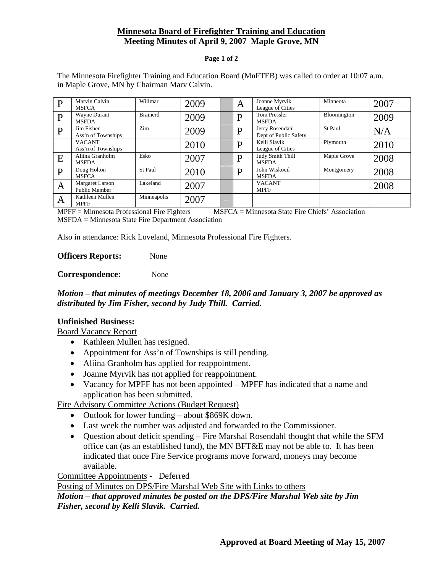# **Minnesota Board of Firefighter Training and Education Meeting Minutes of April 9, 2007 Maple Grove, MN**

#### **Page 1 of 2**

The Minnesota Firefighter Training and Education Board (MnFTEB) was called to order at 10:07 a.m. in Maple Grove, MN by Chairman Marv Calvin.

| D | Marvin Calvin<br><b>MSFCA</b>           | Willmar         | 2009 | A | Joanne Myrvik<br>League of Cities        | Minneota    | 2007 |
|---|-----------------------------------------|-----------------|------|---|------------------------------------------|-------------|------|
| D | Wayne Durant<br><b>MSFDA</b>            | <b>Brainerd</b> | 2009 | D | <b>Tom Pressler</b><br><b>MSFDA</b>      | Bloomington | 2009 |
| D | Jim Fisher<br>Ass'n of Townships        | Zim             | 2009 | D | Jerry Rosendahl<br>Dept of Public Safety | St Paul     | N/A  |
|   | <b>VACANT</b><br>Ass'n of Townships     |                 | 2010 | D | Kelli Slavik<br>League of Cities         | Plymouth    | 2010 |
| E | Aliina Granholm<br><b>MSFDA</b>         | Esko            | 2007 | D | Judy Smith Thill<br><b>MSFDA</b>         | Maple Grove | 2008 |
| D | Doug Holton<br><b>MSFCA</b>             | St Paul         | 2010 | D | John Wiskocil<br><b>MSFDA</b>            | Montgomery  | 2008 |
| A | <b>Margaret Larson</b><br>Public Member | Lakeland        | 2007 |   | <b>VACANT</b><br><b>MPFF</b>             |             | 2008 |
| Α | Kathleen Mullen<br><b>MPFF</b>          | Minneapolis     | 2007 |   |                                          |             |      |

MPFF = Minnesota Professional Fire Fighters MSFCA = Minnesota State Fire Chiefs' Association MSFDA = Minnesota State Fire Department Association

Also in attendance: Rick Loveland, Minnesota Professional Fire Fighters.

**Officers Reports:** None

**Correspondence:** None

## *Motion – that minutes of meetings December 18, 2006 and January 3, 2007 be approved as distributed by Jim Fisher, second by Judy Thill. Carried.*

#### **Unfinished Business:**

Board Vacancy Report

- Kathleen Mullen has resigned.
- Appointment for Ass'n of Townships is still pending.
- Aliina Granholm has applied for reappointment.
- Joanne Myrvik has not applied for reappointment.
- Vacancy for MPFF has not been appointed MPFF has indicated that a name and application has been submitted.

Fire Advisory Committee Actions (Budget Request)

- Outlook for lower funding about \$869K down.
- Last week the number was adjusted and forwarded to the Commissioner.
- Ouestion about deficit spending Fire Marshal Rosendahl thought that while the SFM office can (as an established fund), the MN BFT&E may not be able to. It has been indicated that once Fire Service programs move forward, moneys may become available.

Committee Appointments - Deferred

Posting of Minutes on DPS/Fire Marshal Web Site with Links to others

*Motion – that approved minutes be posted on the DPS/Fire Marshal Web site by Jim Fisher, second by Kelli Slavik. Carried.*